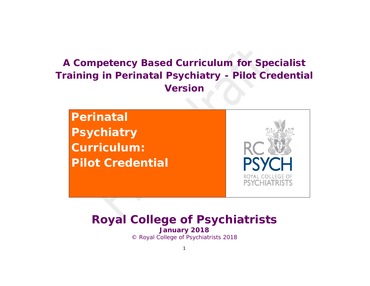# *A Competency Based Curriculum for Specialist Training in Perinatal Psychiatry - Pilot Credential Version*

**Perinatal Psychiatry Curriculum: Pilot Credential**PSYCHIATR

# *Royal College of Psychiatrists January 2018* © Royal College of Psychiatrists 2018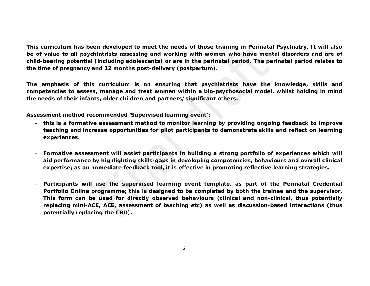**This curriculum has been developed to meet the needs of those training in Perinatal Psychiatry. It will also be of value to** *all* **psychiatrists assessing and working with women who have mental disorders and are of child-bearing potential (including adolescents) or are in the perinatal period. The perinatal period relates to the time of pregnancy and 12 months post-delivery (postpartum).** 

**The emphasis of this curriculum is on ensuring that psychiatrists have the knowledge, skills and competencies to assess, manage and treat women within a bio-psychosocial model, whilst holding in mind the needs of their infants, older children and partners/significant others.**

**Assessment method recommended 'Supervised learning event':** 

- **this is a formative assessment method to monitor learning by providing ongoing feedback to improve teaching and increase opportunities for pilot participants to demonstrate skills and reflect on learning experiences.**
- **Formative assessment will assist participants in building a strong portfolio of experiences which will aid performance by highlighting skills-gaps in developing competencies, behaviours and overall clinical expertise; as an immediate feedback tool, it is effective in promoting reflective learning strategies.**
- **Participants will use the supervised learning event template, as part of the Perinatal Credential Portfolio Online programme; this is designed to be completed by both the trainee and the supervisor. This form can be used for directly observed behaviours (clinical and non-clinical, thus potentially replacing mini-ACE, ACE, assessment of teaching etc) as well as discussion-based interactions (thus potentially replacing the CBD).**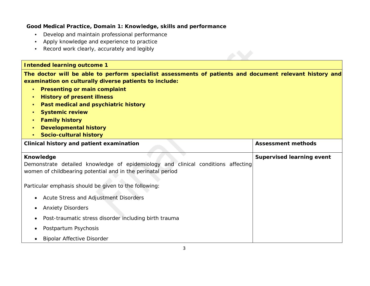#### **Good Medical Practice, Domain 1: Knowledge, skills and performance**

- *Develop and maintain professional performance*
- *Apply knowledge and experience to practice*
- *Record work clearly, accurately and legibly*

#### **Intended learning outcome 1**

**The doctor will be able to perform specialist assessments of patients and document relevant history and examination on culturally diverse patients to include:** 

- **Presenting or main complaint**
- **History of present illness**
- **Past medical and psychiatric history**
- **Systemic review**
- **Family history**
- **Developmental history**
- **Socio-cultural history**

| Clinical history and patient examination                                                                                                                     | <b>Assessment methods</b>        |
|--------------------------------------------------------------------------------------------------------------------------------------------------------------|----------------------------------|
| Knowledge<br>Demonstrate detailed knowledge of epidemiology and clinical conditions affecting<br>women of childbearing potential and in the perinatal period | <b>Supervised learning event</b> |
| Particular emphasis should be given to the following:                                                                                                        |                                  |
| Acute Stress and Adjustment Disorders<br>$\bullet$                                                                                                           |                                  |
| <b>Anxiety Disorders</b>                                                                                                                                     |                                  |
| Post-traumatic stress disorder including birth trauma                                                                                                        |                                  |
| Postpartum Psychosis                                                                                                                                         |                                  |
| <b>Bipolar Affective Disorder</b>                                                                                                                            |                                  |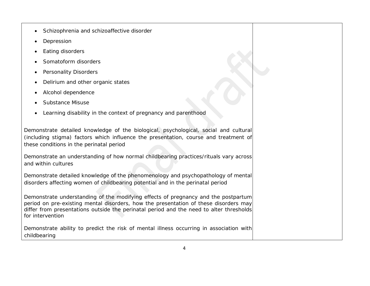- Schizophrenia and schizoaffective disorder
- **Depression**
- Eating disorders
- Somatoform disorders
- Personality Disorders
- Delirium and other organic states
- Alcohol dependence
- Substance Misuse
- Learning disability in the context of pregnancy and parenthood

Demonstrate detailed knowledge of the biological, psychological, social and cultural (including stigma) factors which influence the presentation, course and treatment of these conditions in the perinatal period

Demonstrate an understanding of how normal childbearing practices/rituals vary across and within cultures

Demonstrate detailed knowledge of the phenomenology and psychopathology of mental disorders affecting women of childbearing potential and in the perinatal period

Demonstrate understanding of the modifying effects of pregnancy and the postpartum period on pre-existing mental disorders, how the presentation of these disorders may differ from presentations outside the perinatal period and the need to alter thresholds for intervention

Demonstrate ability to predict the risk of mental illness occurring in association with childbearing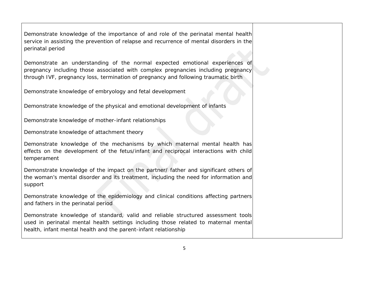Demonstrate knowledge of the importance of and role of the perinatal mental health service in assisting the prevention of relapse and recurrence of mental disorders in the perinatal period

Demonstrate an understanding of the normal expected emotional experiences of pregnancy including those associated with complex pregnancies including pregnancy through IVF, pregnancy loss, termination of pregnancy and following traumatic birth

Demonstrate knowledge of embryology and fetal development

Demonstrate knowledge of the physical and emotional development of infants

Demonstrate knowledge of mother-infant relationships

Demonstrate knowledge of attachment theory

Demonstrate knowledge of the mechanisms by which maternal mental health has effects on the development of the fetus/infant and reciprocal interactions with child temperament

Demonstrate knowledge of the impact on the partner/ father and significant others of the woman's mental disorder and its treatment, including the need for information and support

Demonstrate knowledge of the epidemiology and clinical conditions affecting partners and fathers in the perinatal period

Demonstrate knowledge of standard, valid and reliable structured assessment tools used in perinatal mental health settings including those related to maternal mental health, infant mental health and the parent-infant relationship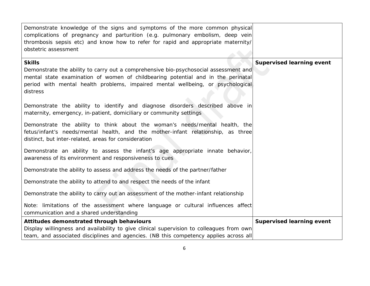| Demonstrate knowledge of the signs and symptoms of the more common physical<br>complications of pregnancy and parturition (e.g. pulmonary embolism, deep vein<br>thrombosis sepsis etc) and know how to refer for rapid and appropriate maternity/<br>obstetric assessment               |                                  |
|------------------------------------------------------------------------------------------------------------------------------------------------------------------------------------------------------------------------------------------------------------------------------------------|----------------------------------|
| <b>Skills</b><br>Demonstrate the ability to carry out a comprehensive bio-psychosocial assessment and<br>mental state examination of women of childbearing potential and in the perinatal<br>period with mental health problems, impaired mental wellbeing, or psychological<br>distress | <b>Supervised learning event</b> |
| Demonstrate the ability to identify and diagnose disorders described above in<br>maternity, emergency, in-patient, domiciliary or community settings                                                                                                                                     |                                  |
| Demonstrate the ability to think about the woman's needs/mental health, the<br>fetus/infant's needs/mental health, and the mother-infant relationship, as three<br>distinct, but inter-related, areas for consideration                                                                  |                                  |
| Demonstrate an ability to assess the infant's age appropriate innate behavior,<br>awareness of its environment and responsiveness to cues                                                                                                                                                |                                  |
| Demonstrate the ability to assess and address the needs of the partner/father                                                                                                                                                                                                            |                                  |
| Demonstrate the ability to attend to and respect the needs of the infant                                                                                                                                                                                                                 |                                  |
| Demonstrate the ability to carry out an assessment of the mother-infant relationship                                                                                                                                                                                                     |                                  |
| Note: limitations of the assessment where language or cultural influences affect<br>communication and a shared understanding                                                                                                                                                             |                                  |
| Attitudes demonstrated through behaviours                                                                                                                                                                                                                                                | <b>Supervised learning event</b> |
| Display willingness and availability to give clinical supervision to colleagues from own<br>team, and associated disciplines and agencies. (NB this competency applies across all                                                                                                        |                                  |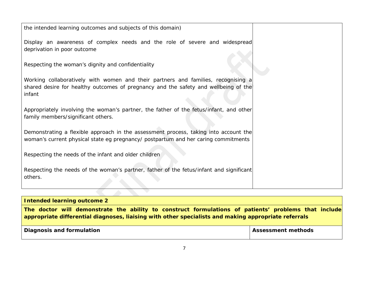| the intended learning outcomes and subjects of this domain)                                                                                                              |  |
|--------------------------------------------------------------------------------------------------------------------------------------------------------------------------|--|
| Display an awareness of complex needs and the role of severe and widespread<br>deprivation in poor outcome                                                               |  |
|                                                                                                                                                                          |  |
| Respecting the woman's dignity and confidentiality                                                                                                                       |  |
| Working collaboratively with women and their partners and families, recognising a<br>shared desire for healthy outcomes of pregnancy and the safety and wellbeing of the |  |
| infant                                                                                                                                                                   |  |
| Appropriately involving the woman's partner, the father of the fetus/infant, and other                                                                                   |  |
| family members/significant others.                                                                                                                                       |  |
| Demonstrating a flexible approach in the assessment process, taking into account the                                                                                     |  |
| woman's current physical state eg pregnancy/ postpartum and her caring commitments                                                                                       |  |
| Respecting the needs of the infant and older children                                                                                                                    |  |
| Respecting the needs of the woman's partner, father of the fetus/infant and significant<br>others.                                                                       |  |
|                                                                                                                                                                          |  |

**The doctor will demonstrate the ability to construct formulations of patients' problems that include appropriate differential diagnoses, liaising with other specialists and making appropriate referrals** 

| Diagnosis and formulation | <b>Assessment methods</b> |
|---------------------------|---------------------------|
|                           |                           |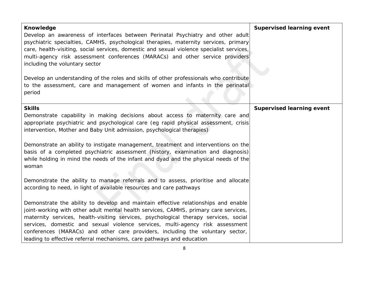| <b>Knowledge</b>                                                                                                                                                                                                                                                                                                                                                                                                                                                                                               | <b>Supervised learning event</b> |
|----------------------------------------------------------------------------------------------------------------------------------------------------------------------------------------------------------------------------------------------------------------------------------------------------------------------------------------------------------------------------------------------------------------------------------------------------------------------------------------------------------------|----------------------------------|
| Develop an awareness of interfaces between Perinatal Psychiatry and other adult<br>psychiatric specialties, CAMHS, psychological therapies, maternity services, primary<br>care, health-visiting, social services, domestic and sexual violence specialist services,<br>multi-agency risk assessment conferences (MARACs) and other service providers<br>including the voluntary sector                                                                                                                        |                                  |
| Develop an understanding of the roles and skills of other professionals who contribute<br>to the assessment, care and management of women and infants in the perinatal<br>period                                                                                                                                                                                                                                                                                                                               |                                  |
| <b>Skills</b>                                                                                                                                                                                                                                                                                                                                                                                                                                                                                                  | <b>Supervised learning event</b> |
| Demonstrate capability in making decisions about access to maternity care and<br>appropriate psychiatric and psychological care (eg rapid physical assessment, crisis<br>intervention, Mother and Baby Unit admission, psychological therapies)                                                                                                                                                                                                                                                                |                                  |
| Demonstrate an ability to instigate management, treatment and interventions on the<br>basis of a completed psychiatric assessment (history, examination and diagnosis)<br>while holding in mind the needs of the infant and dyad and the physical needs of the<br>woman                                                                                                                                                                                                                                        |                                  |
| Demonstrate the ability to manage referrals and to assess, prioritise and allocate<br>according to need, in light of available resources and care pathways                                                                                                                                                                                                                                                                                                                                                     |                                  |
| Demonstrate the ability to develop and maintain effective relationships and enable<br>joint-working with other adult mental health services, CAMHS, primary care services,<br>maternity services, health-visiting services, psychological therapy services, social<br>services, domestic and sexual violence services, multi-agency risk assessment<br>conferences (MARACs) and other care providers, including the voluntary sector,<br>leading to effective referral mechanisms, care pathways and education |                                  |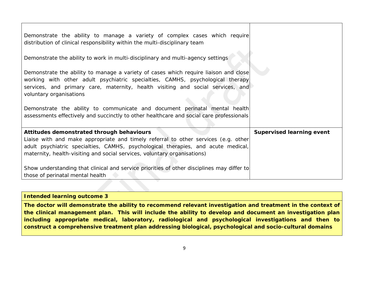| Show understanding that clinical and service priorities of other disciplines may differ to<br>those of perinatal mental health                                                                                                                                                                   |                                  |
|--------------------------------------------------------------------------------------------------------------------------------------------------------------------------------------------------------------------------------------------------------------------------------------------------|----------------------------------|
| Attitudes demonstrated through behaviours<br>Liaise with and make appropriate and timely referral to other services (e.g. other<br>adult psychiatric specialties, CAMHS, psychological therapies, and acute medical,<br>maternity, health-visiting and social services, voluntary organisations) | <b>Supervised learning event</b> |
| Demonstrate the ability to communicate and document perinatal mental health<br>assessments effectively and succinctly to other healthcare and social care professionals                                                                                                                          |                                  |
| Demonstrate the ability to manage a variety of cases which require liaison and close<br>working with other adult psychiatric specialties, CAMHS, psychological therapy<br>services, and primary care, maternity, health visiting and social services, and<br>voluntary organisations             |                                  |
| Demonstrate the ability to work in multi-disciplinary and multi-agency settings                                                                                                                                                                                                                  |                                  |
| Demonstrate the ability to manage a variety of complex cases which require<br>distribution of clinical responsibility within the multi-disciplinary team                                                                                                                                         |                                  |

**The doctor will demonstrate the ability to recommend relevant investigation and treatment in the context of the clinical management plan. This will include the ability to develop and document an investigation plan including appropriate medical, laboratory, radiological and psychological investigations and then to construct a comprehensive treatment plan addressing biological, psychological and socio-cultural domains**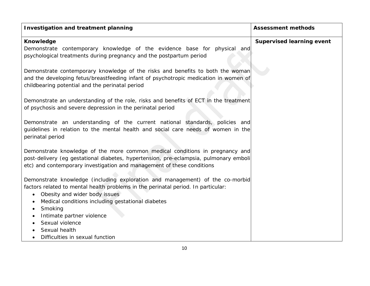| <b>Investigation and treatment planning</b>                                                                                                                        | <b>Assessment methods</b>        |
|--------------------------------------------------------------------------------------------------------------------------------------------------------------------|----------------------------------|
| <b>Knowledge</b>                                                                                                                                                   | <b>Supervised learning event</b> |
| Demonstrate contemporary knowledge of the evidence base for physical and                                                                                           |                                  |
| psychological treatments during pregnancy and the postpartum period                                                                                                |                                  |
| Demonstrate contemporary knowledge of the risks and benefits to both the woman                                                                                     |                                  |
| and the developing fetus/breastfeeding infant of psychotropic medication in women of                                                                               |                                  |
| childbearing potential and the perinatal period                                                                                                                    |                                  |
|                                                                                                                                                                    |                                  |
| Demonstrate an understanding of the role, risks and benefits of ECT in the treatment                                                                               |                                  |
| of psychosis and severe depression in the perinatal period                                                                                                         |                                  |
|                                                                                                                                                                    |                                  |
| Demonstrate an understanding of the current national standards, policies and                                                                                       |                                  |
| guidelines in relation to the mental health and social care needs of women in the<br>perinatal period                                                              |                                  |
|                                                                                                                                                                    |                                  |
| Demonstrate knowledge of the more common medical conditions in pregnancy and                                                                                       |                                  |
| post-delivery (eg gestational diabetes, hypertension, pre-eclampsia, pulmonary emboli                                                                              |                                  |
| etc) and contemporary investigation and management of these conditions                                                                                             |                                  |
|                                                                                                                                                                    |                                  |
| Demonstrate knowledge (including exploration and management) of the co-morbid<br>factors related to mental health problems in the perinatal period. In particular: |                                  |
| Obesity and wider body issues<br>$\bullet$                                                                                                                         |                                  |
| Medical conditions including gestational diabetes<br>$\bullet$                                                                                                     |                                  |
| Smoking<br>$\bullet$                                                                                                                                               |                                  |
| Intimate partner violence                                                                                                                                          |                                  |
| Sexual violence                                                                                                                                                    |                                  |
| Sexual health                                                                                                                                                      |                                  |
| Difficulties in sexual function                                                                                                                                    |                                  |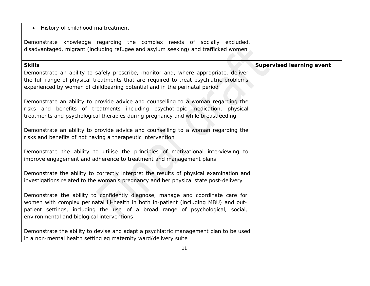| History of childhood maltreatment                                                                                                                                                                                                                                                                      |                                  |
|--------------------------------------------------------------------------------------------------------------------------------------------------------------------------------------------------------------------------------------------------------------------------------------------------------|----------------------------------|
| Demonstrate knowledge regarding the complex needs of socially excluded,<br>disadvantaged, migrant (including refugee and asylum seeking) and trafficked women                                                                                                                                          |                                  |
| <b>Skills</b>                                                                                                                                                                                                                                                                                          | <b>Supervised learning event</b> |
| Demonstrate an ability to safely prescribe, monitor and, where appropriate, deliver<br>the full range of physical treatments that are required to treat psychiatric problems<br>experienced by women of childbearing potential and in the perinatal period                                             |                                  |
| Demonstrate an ability to provide advice and counselling to a woman regarding the<br>risks and benefits of treatments including psychotropic medication, physical<br>treatments and psychological therapies during pregnancy and while breastfeeding                                                   |                                  |
| Demonstrate an ability to provide advice and counselling to a woman regarding the<br>risks and benefits of not having a therapeutic intervention                                                                                                                                                       |                                  |
| Demonstrate the ability to utilise the principles of motivational interviewing to<br>improve engagement and adherence to treatment and management plans                                                                                                                                                |                                  |
| Demonstrate the ability to correctly interpret the results of physical examination and<br>investigations related to the woman's pregnancy and her physical state post-delivery                                                                                                                         |                                  |
| Demonstrate the ability to confidently diagnose, manage and coordinate care for<br>women with complex perinatal ill-health in both in-patient (including MBU) and out-<br>patient settings, including the use of a broad range of psychological, social,<br>environmental and biological interventions |                                  |
| Demonstrate the ability to devise and adapt a psychiatric management plan to be used<br>in a non-mental health setting eg maternity ward/delivery suite                                                                                                                                                |                                  |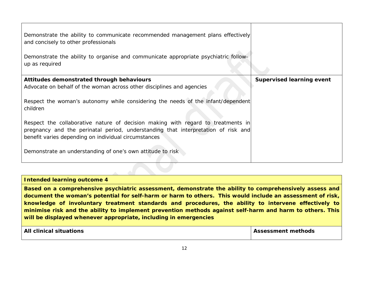| Demonstrate the ability to communicate recommended management plans effectively<br>and concisely to other professionals                                                                                                       |                                  |
|-------------------------------------------------------------------------------------------------------------------------------------------------------------------------------------------------------------------------------|----------------------------------|
| Demonstrate the ability to organise and communicate appropriate psychiatric follow-<br>up as required                                                                                                                         |                                  |
| Attitudes demonstrated through behaviours<br>Advocate on behalf of the woman across other disciplines and agencies                                                                                                            | <b>Supervised learning event</b> |
| Respect the woman's autonomy while considering the needs of the infant/dependent<br>children                                                                                                                                  |                                  |
| Respect the collaborative nature of decision making with regard to treatments in<br>pregnancy and the perinatal period, understanding that interpretation of risk and<br>benefit varies depending on individual circumstances |                                  |
| Demonstrate an understanding of one's own attitude to risk                                                                                                                                                                    |                                  |

**Based on a comprehensive psychiatric assessment, demonstrate the ability to comprehensively assess and document the woman's potential for self-harm or harm to others. This would include an assessment of risk, knowledge of involuntary treatment standards and procedures, the ability to intervene effectively to minimise risk and the ability to implement prevention methods against self-harm and harm to others. This will be displayed whenever appropriate, including in emergencies** 

| <b>All clinical situations</b> | <b>Assessment methods</b> |
|--------------------------------|---------------------------|
|                                |                           |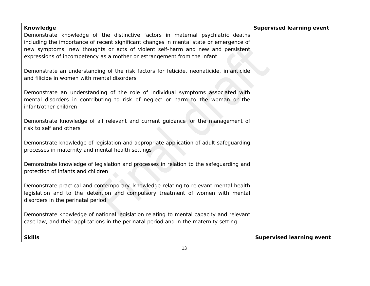| <b>Knowledge</b>                                                                                                                                                                | <b>Supervised learning event</b> |
|---------------------------------------------------------------------------------------------------------------------------------------------------------------------------------|----------------------------------|
| Demonstrate knowledge of the distinctive factors in maternal psychiatric deaths                                                                                                 |                                  |
| including the importance of recent significant changes in mental state or emergence of                                                                                          |                                  |
| new symptoms, new thoughts or acts of violent self-harm and new and persistent                                                                                                  |                                  |
| expressions of incompetency as a mother or estrangement from the infant                                                                                                         |                                  |
| Demonstrate an understanding of the risk factors for feticide, neonaticide, infanticide                                                                                         |                                  |
| and filicide in women with mental disorders                                                                                                                                     |                                  |
|                                                                                                                                                                                 |                                  |
| Demonstrate an understanding of the role of individual symptoms associated with                                                                                                 |                                  |
| mental disorders in contributing to risk of neglect or harm to the woman or the                                                                                                 |                                  |
| infant/other children                                                                                                                                                           |                                  |
|                                                                                                                                                                                 |                                  |
| Demonstrate knowledge of all relevant and current guidance for the management of                                                                                                |                                  |
| risk to self and others                                                                                                                                                         |                                  |
|                                                                                                                                                                                 |                                  |
| Demonstrate knowledge of legislation and appropriate application of adult safeguarding<br>processes in maternity and mental health settings                                     |                                  |
|                                                                                                                                                                                 |                                  |
| Demonstrate knowledge of legislation and processes in relation to the safeguarding and                                                                                          |                                  |
| protection of infants and children                                                                                                                                              |                                  |
|                                                                                                                                                                                 |                                  |
| Demonstrate practical and contemporary knowledge relating to relevant mental health                                                                                             |                                  |
| legislation and to the detention and compulsory treatment of women with mental                                                                                                  |                                  |
| disorders in the perinatal period                                                                                                                                               |                                  |
|                                                                                                                                                                                 |                                  |
| Demonstrate knowledge of national legislation relating to mental capacity and relevant<br>case law, and their applications in the perinatal period and in the maternity setting |                                  |
|                                                                                                                                                                                 |                                  |
| <b>Skills</b>                                                                                                                                                                   | <b>Supervised learning event</b> |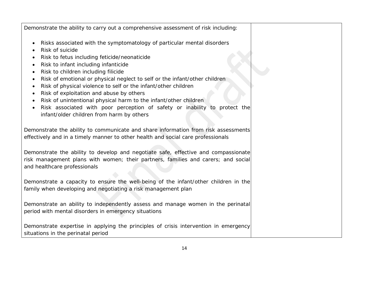Demonstrate the ability to carry out a comprehensive assessment of risk including:

- Risks associated with the symptomatology of particular mental disorders
- Risk of suicide
- Risk to fetus including feticide/neonaticide
- Risk to infant including infanticide
- Risk to children including filicide
- Risk of emotional or physical neglect to self or the infant/other children
- Risk of physical violence to self or the infant/other children
- Risk of exploitation and abuse by others
- Risk of unintentional physical harm to the infant/other children
- Risk associated with poor perception of safety or inability to protect the infant/older children from harm by others

Demonstrate the ability to communicate and share information from risk assessments effectively and in a timely manner to other health and social care professionals

Demonstrate the ability to develop and negotiate safe, effective and compassionate risk management plans with women; their partners, families and carers; and social and healthcare professionals

Demonstrate a capacity to ensure the well-being of the infant/other children in the family when developing and negotiating a risk management plan

Demonstrate an ability to independently assess and manage women in the perinatal period with mental disorders in emergency situations

Demonstrate expertise in applying the principles of crisis intervention in emergency situations in the perinatal period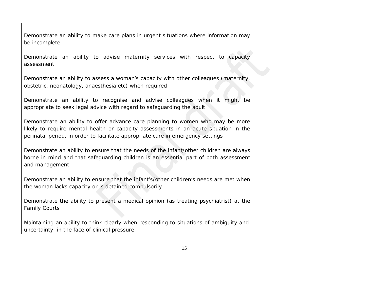Demonstrate an ability to make care plans in urgent situations where information may be incomplete

Demonstrate an ability to advise maternity services with respect to capacity assessment

Demonstrate an ability to assess a woman's capacity with other colleagues (maternity, obstetric, neonatology, anaesthesia etc) when required

Demonstrate an ability to recognise and advise colleagues when it might be appropriate to seek legal advice with regard to safeguarding the adult

Demonstrate an ability to offer advance care planning to women who may be more likely to require mental health or capacity assessments in an acute situation in the perinatal period, in order to facilitate appropriate care in emergency settings

Demonstrate an ability to ensure that the needs of the infant/other children are always borne in mind and that safeguarding children is an essential part of both assessment and management

Demonstrate an ability to ensure that the infant's/other children's needs are met when the woman lacks capacity or is detained compulsorily

Demonstrate the ability to present a medical opinion (as treating psychiatrist) at the Family Courts

Maintaining an ability to think clearly when responding to situations of ambiguity and uncertainty, in the face of clinical pressure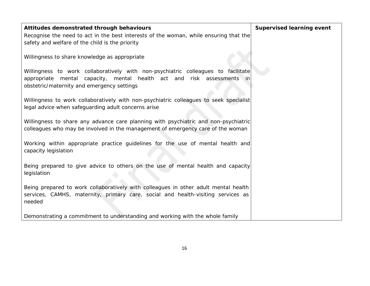| Attitudes demonstrated through behaviours                                                                                                                                                                    | <b>Supervised learning event</b> |
|--------------------------------------------------------------------------------------------------------------------------------------------------------------------------------------------------------------|----------------------------------|
| Recognise the need to act in the best interests of the woman, while ensuring that the<br>safety and welfare of the child is the priority                                                                     |                                  |
| Willingness to share knowledge as appropriate                                                                                                                                                                |                                  |
| Willingness to work collaboratively with non-psychiatric colleagues to facilitate<br>mental capacity, mental health act and risk assessments in<br>appropriate<br>obstetric/maternity and emergency settings |                                  |
| Willingness to work collaboratively with non-psychiatric colleagues to seek specialist<br>legal advice when safeguarding adult concerns arise                                                                |                                  |
| Willingness to share any advance care planning with psychiatric and non-psychiatric<br>colleagues who may be involved in the management of emergency care of the woman                                       |                                  |
| Working within appropriate practice guidelines for the use of mental health and<br>capacity legislation                                                                                                      |                                  |
| Being prepared to give advice to others on the use of mental health and capacity<br>legislation                                                                                                              |                                  |
| Being prepared to work collaboratively with colleagues in other adult mental health<br>services, CAMHS, maternity, primary care, social and health-visiting services as<br>needed                            |                                  |
| Demonstrating a commitment to understanding and working with the whole family                                                                                                                                |                                  |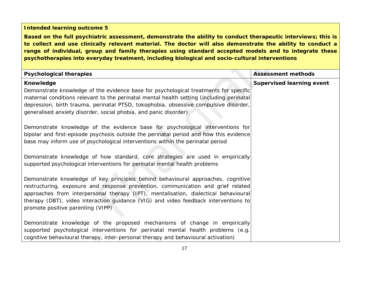**Based on the full psychiatric assessment, demonstrate the ability to conduct therapeutic interviews; this is to collect and use clinically relevant material. The doctor will also demonstrate the ability to conduct a range of individual, group and family therapies using standard accepted models and to integrate these psychotherapies into everyday treatment, including biological and socio-cultural interventions**

| <b>Psychological therapies</b>                                                                                                                                                                                                                                                                                                                                                          | <b>Assessment methods</b>        |
|-----------------------------------------------------------------------------------------------------------------------------------------------------------------------------------------------------------------------------------------------------------------------------------------------------------------------------------------------------------------------------------------|----------------------------------|
| <b>Knowledge</b>                                                                                                                                                                                                                                                                                                                                                                        | <b>Supervised learning event</b> |
| Demonstrate knowledge of the evidence base for psychological treatments for specific<br>maternal conditions relevant to the perinatal mental health setting (including perinatal<br>depression, birth trauma, perinatal PTSD, tokophobia, obsessive compulsive disorder,<br>generalised anxiety disorder, social phobia, and panic disorder)                                            |                                  |
| Demonstrate knowledge of the evidence base for psychological interventions for<br>bipolar and first-episode psychosis outside the perinatal period and how this evidence<br>base may inform use of psychological interventions within the perinatal period                                                                                                                              |                                  |
| Demonstrate knowledge of how standard, core strategies are used in empirically<br>supported psychological interventions for perinatal mental health problems                                                                                                                                                                                                                            |                                  |
| Demonstrate knowledge of key principles behind behavioural approaches, cognitive<br>restructuring, exposure and response prevention, communication and grief related<br>approaches from interpersonal therapy (IPT), mentalisation, dialectical behavioural<br>therapy (DBT), video interaction guidance (VIG) and video feedback interventions to<br>promote positive parenting (VIPP) |                                  |
| Demonstrate knowledge of the proposed mechanisms of change in empirically<br>supported psychological interventions for perinatal mental health problems (e.g.<br>cognitive behavioural therapy, inter-personal therapy and behavioural activation)                                                                                                                                      |                                  |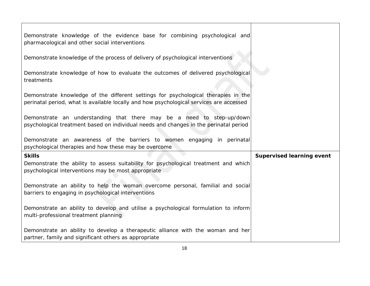| Demonstrate knowledge of the evidence base for combining psychological and<br>pharmacological and other social interventions                                                  |                                  |
|-------------------------------------------------------------------------------------------------------------------------------------------------------------------------------|----------------------------------|
| Demonstrate knowledge of the process of delivery of psychological interventions                                                                                               |                                  |
| Demonstrate knowledge of how to evaluate the outcomes of delivered psychological<br>treatments                                                                                |                                  |
| Demonstrate knowledge of the different settings for psychological therapies in the<br>perinatal period, what is available locally and how psychological services are accessed |                                  |
| Demonstrate an understanding that there may be a need to step-up/down<br>psychological treatment based on individual needs and changes in the perinatal period                |                                  |
| Demonstrate an awareness of the barriers to women engaging in perinatal<br>psychological therapies and how these may be overcome                                              |                                  |
| <b>Skills</b><br>Demonstrate the ability to assess suitability for psychological treatment and which<br>psychological interventions may be most appropriate                   | <b>Supervised learning event</b> |
| Demonstrate an ability to help the woman overcome personal, familial and social<br>barriers to engaging in psychological interventions                                        |                                  |
| Demonstrate an ability to develop and utilise a psychological formulation to inform<br>multi-professional treatment planning                                                  |                                  |
| Demonstrate an ability to develop a therapeutic alliance with the woman and her<br>partner, family and significant others as appropriate                                      |                                  |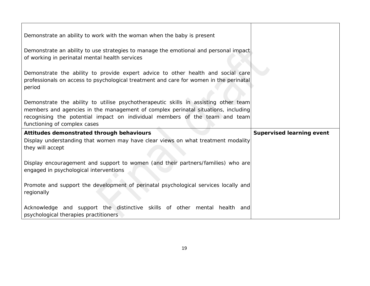| Demonstrate an ability to work with the woman when the baby is present                                                                                                                                                                                                                  |                                  |
|-----------------------------------------------------------------------------------------------------------------------------------------------------------------------------------------------------------------------------------------------------------------------------------------|----------------------------------|
| Demonstrate an ability to use strategies to manage the emotional and personal impact<br>of working in perinatal mental health services                                                                                                                                                  |                                  |
| Demonstrate the ability to provide expert advice to other health and social care<br>professionals on access to psychological treatment and care for women in the perinatal<br>period                                                                                                    |                                  |
| Demonstrate the ability to utilise psychotherapeutic skills in assisting other team<br>members and agencies in the management of complex perinatal situations, including<br>recognising the potential impact on individual members of the team and team<br>functioning of complex cases |                                  |
|                                                                                                                                                                                                                                                                                         |                                  |
|                                                                                                                                                                                                                                                                                         |                                  |
| Attitudes demonstrated through behaviours<br>Display understanding that women may have clear views on what treatment modality<br>they will accept                                                                                                                                       | <b>Supervised learning event</b> |
| Display encouragement and support to women (and their partners/families) who are<br>engaged in psychological interventions                                                                                                                                                              |                                  |
| Promote and support the development of perinatal psychological services locally and<br>regionally                                                                                                                                                                                       |                                  |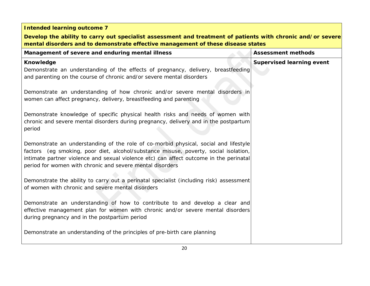| <b>Intended learning outcome 7</b>                                                                                                                                                                                                                                                                                                  |                                  |
|-------------------------------------------------------------------------------------------------------------------------------------------------------------------------------------------------------------------------------------------------------------------------------------------------------------------------------------|----------------------------------|
| Develop the ability to carry out specialist assessment and treatment of patients with chronic and/or severe<br>mental disorders and to demonstrate effective management of these disease states                                                                                                                                     |                                  |
| Management of severe and enduring mental illness                                                                                                                                                                                                                                                                                    | <b>Assessment methods</b>        |
| <b>Knowledge</b><br>Demonstrate an understanding of the effects of pregnancy, delivery, breastfeeding<br>and parenting on the course of chronic and/or severe mental disorders                                                                                                                                                      | <b>Supervised learning event</b> |
| Demonstrate an understanding of how chronic and/or severe mental disorders in<br>women can affect pregnancy, delivery, breastfeeding and parenting                                                                                                                                                                                  |                                  |
| Demonstrate knowledge of specific physical health risks and needs of women with<br>chronic and severe mental disorders during pregnancy, delivery and in the postpartum<br>period                                                                                                                                                   |                                  |
| Demonstrate an understanding of the role of co-morbid physical, social and lifestyle<br>factors (eg smoking, poor diet, alcohol/substance misuse, poverty, social isolation,<br>intimate partner violence and sexual violence etc) can affect outcome in the perinatal<br>period for women with chronic and severe mental disorders |                                  |
| Demonstrate the ability to carry out a perinatal specialist (including risk) assessment<br>of women with chronic and severe mental disorders                                                                                                                                                                                        |                                  |
| Demonstrate an understanding of how to contribute to and develop a clear and<br>effective management plan for women with chronic and/or severe mental disorders<br>during pregnancy and in the postpartum period                                                                                                                    |                                  |
| Demonstrate an understanding of the principles of pre-birth care planning                                                                                                                                                                                                                                                           |                                  |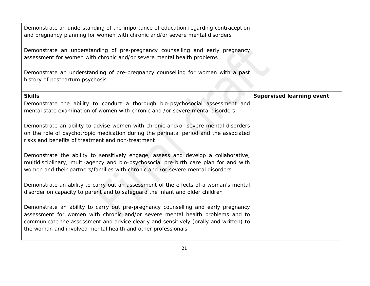| Demonstrate an understanding of the importance of education regarding contraception<br>and pregnancy planning for women with chronic and/or severe mental disorders<br>Demonstrate an understanding of pre-pregnancy counselling and early pregnancy<br>assessment for women with chronic and/or severe mental health problems |                                  |
|--------------------------------------------------------------------------------------------------------------------------------------------------------------------------------------------------------------------------------------------------------------------------------------------------------------------------------|----------------------------------|
| Demonstrate an understanding of pre-pregnancy counselling for women with a past<br>history of postpartum psychosis                                                                                                                                                                                                             |                                  |
| <b>Skills</b>                                                                                                                                                                                                                                                                                                                  | <b>Supervised learning event</b> |
| Demonstrate the ability to conduct a thorough bio-psychosocial assessment and<br>mental state examination of women with chronic and /or severe mental disorders                                                                                                                                                                |                                  |
| Demonstrate an ability to advise women with chronic and/or severe mental disorders<br>on the role of psychotropic medication during the perinatal period and the associated<br>risks and benefits of treatment and non-treatment                                                                                               |                                  |
| Demonstrate the ability to sensitively engage, assess and develop a collaborative,<br>multidisciplinary, multi-agency and bio-psychosocial pre-birth care plan for and with<br>women and their partners/families with chronic and /or severe mental disorders                                                                  |                                  |
| Demonstrate an ability to carry out an assessment of the effects of a woman's mental<br>disorder on capacity to parent and to safeguard the infant and older children                                                                                                                                                          |                                  |
| Demonstrate an ability to carry out pre-pregnancy counselling and early pregnancy<br>assessment for women with chronic and/or severe mental health problems and to<br>communicate the assessment and advice clearly and sensitively (orally and written) to<br>the woman and involved mental health and other professionals    |                                  |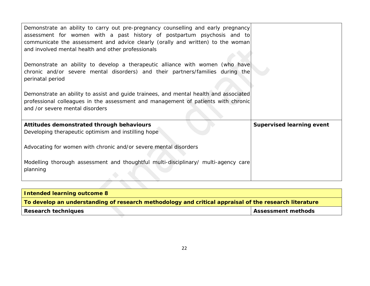| Demonstrate an ability to carry out pre-pregnancy counselling and early pregnancy<br>assessment for women with a past history of postpartum psychosis and to<br>communicate the assessment and advice clearly (orally and written) to the woman<br>and involved mental health and other professionals |                                  |
|-------------------------------------------------------------------------------------------------------------------------------------------------------------------------------------------------------------------------------------------------------------------------------------------------------|----------------------------------|
| Demonstrate an ability to develop a therapeutic alliance with women (who have<br>chronic and/or severe mental disorders) and their partners/families during the<br>perinatal period                                                                                                                   |                                  |
| Demonstrate an ability to assist and guide trainees, and mental health and associated<br>professional colleagues in the assessment and management of patients with chronic<br>and /or severe mental disorders                                                                                         |                                  |
| Attitudes demonstrated through behaviours<br>Developing therapeutic optimism and instilling hope                                                                                                                                                                                                      | <b>Supervised learning event</b> |
| Advocating for women with chronic and/or severe mental disorders                                                                                                                                                                                                                                      |                                  |
| Modelling thorough assessment and thoughtful multi-disciplinary/ multi-agency care<br>planning                                                                                                                                                                                                        |                                  |
|                                                                                                                                                                                                                                                                                                       |                                  |

| Intended learning outcome 8                                                                                  |                           |
|--------------------------------------------------------------------------------------------------------------|---------------------------|
| $\mid$ To develop an understanding of research methodology and critical appraisal of the research literature |                           |
| Research techniques                                                                                          | <b>Assessment methods</b> |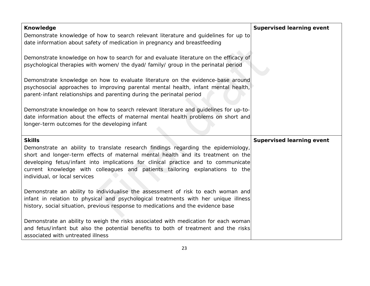| <b>Knowledge</b>                                                                                                                                                                                                             | <b>Supervised learning event</b> |
|------------------------------------------------------------------------------------------------------------------------------------------------------------------------------------------------------------------------------|----------------------------------|
| Demonstrate knowledge of how to search relevant literature and guidelines for up to<br>date information about safety of medication in pregnancy and breastfeeding                                                            |                                  |
| Demonstrate knowledge on how to search for and evaluate literature on the efficacy of<br>psychological therapies with women/ the dyad/ family/ group in the perinatal period                                                 |                                  |
| Demonstrate knowledge on how to evaluate literature on the evidence-base around                                                                                                                                              |                                  |
| psychosocial approaches to improving parental mental health, infant mental health,<br>parent-infant relationships and parenting during the perinatal period                                                                  |                                  |
| Demonstrate knowledge on how to search relevant literature and guidelines for up-to-<br>date information about the effects of maternal mental health problems on short and<br>longer-term outcomes for the developing infant |                                  |
| <b>Skills</b>                                                                                                                                                                                                                | <b>Supervised learning event</b> |
| Demonstrate an ability to translate research findings regarding the epidemiology,<br>short and longer-term effects of maternal mental health and its treatment on the                                                        |                                  |
| developing fetus/infant into implications for clinical practice and to communicate                                                                                                                                           |                                  |
| current knowledge with colleagues and patients tailoring explanations to the<br>individual, or local services                                                                                                                |                                  |
| Demonstrate an ability to individualise the assessment of risk to each woman and<br>infant in relation to physical and psychological treatments with her unique illness                                                      |                                  |
| history, social situation, previous response to medications and the evidence base                                                                                                                                            |                                  |
| Demonstrate an ability to weigh the risks associated with medication for each woman                                                                                                                                          |                                  |
| and fetus/infant but also the potential benefits to both of treatment and the risks<br>associated with untreated illness                                                                                                     |                                  |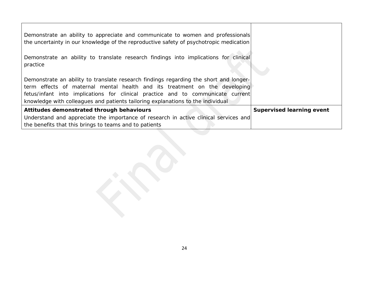| Demonstrate an ability to appreciate and communicate to women and professionals<br>the uncertainty in our knowledge of the reproductive safety of psychotropic medication                                                                                                                                                                 |                                  |
|-------------------------------------------------------------------------------------------------------------------------------------------------------------------------------------------------------------------------------------------------------------------------------------------------------------------------------------------|----------------------------------|
| Demonstrate an ability to translate research findings into implications for clinical<br>practice                                                                                                                                                                                                                                          |                                  |
| Demonstrate an ability to translate research findings regarding the short and longer-<br>term effects of maternal mental health and its treatment on the developing<br>fetus/infant into implications for clinical practice and to communicate current<br>knowledge with colleagues and patients tailoring explanations to the individual |                                  |
| Attitudes demonstrated through behaviours                                                                                                                                                                                                                                                                                                 | <b>Supervised learning event</b> |
| Understand and appreciate the importance of research in active clinical services and<br>the benefits that this brings to teams and to patients                                                                                                                                                                                            |                                  |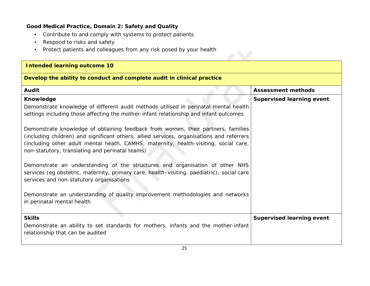## **Good Medical Practice, Domain 2: Safety and Quality**

- *Contribute to and comply with systems to protect patients*
- *Respond to risks and safety*
- *Protect patients and colleagues from any risk posed by your health*

| <b>Intended learning outcome 10</b>                                                                                                                                                                                                                                                                                      |                                  |
|--------------------------------------------------------------------------------------------------------------------------------------------------------------------------------------------------------------------------------------------------------------------------------------------------------------------------|----------------------------------|
| Develop the ability to conduct and complete audit in clinical practice                                                                                                                                                                                                                                                   |                                  |
| <b>Audit</b>                                                                                                                                                                                                                                                                                                             | <b>Assessment methods</b>        |
| Knowledge                                                                                                                                                                                                                                                                                                                | <b>Supervised learning event</b> |
| Demonstrate knowledge of different audit methods utilised in perinatal mental health<br>settings including those affecting the mother-infant relationship and infant outcomes                                                                                                                                            |                                  |
| Demonstrate knowledge of obtaining feedback from women, their partners, families<br>(including children) and significant others, allied services, organisations and referrers<br>(including other adult mental heath, CAMHS, maternity, health-visiting, social care,<br>non-statutory, translating and perinatal teams) |                                  |
| Demonstrate an understanding of the structures and organisation of other NHS<br>services (eg obstetric, maternity, primary care, health-visiting, paediatric); social care<br>services and non-statutory organisations                                                                                                   |                                  |
| Demonstrate an understanding of quality improvement methodologies and networks<br>in perinatal mental health                                                                                                                                                                                                             |                                  |
| <b>Skills</b>                                                                                                                                                                                                                                                                                                            | <b>Supervised learning event</b> |
| Demonstrate an ability to set standards for mothers, infants and the mother-infant<br>relationship that can be audited                                                                                                                                                                                                   |                                  |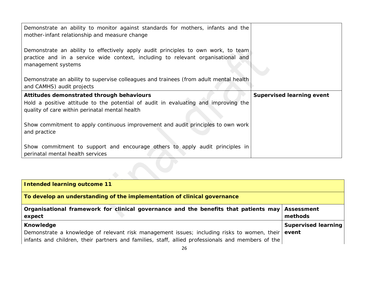| Demonstrate an ability to monitor against standards for mothers, infants and the<br>mother-infant relationship and measure change                                                           |                                  |
|---------------------------------------------------------------------------------------------------------------------------------------------------------------------------------------------|----------------------------------|
| Demonstrate an ability to effectively apply audit principles to own work, to team<br>practice and in a service wide context, including to relevant organisational and<br>management systems |                                  |
| Demonstrate an ability to supervise colleagues and trainees (from adult mental health<br>and CAMHS) audit projects                                                                          |                                  |
| Attitudes demonstrated through behaviours                                                                                                                                                   | <b>Supervised learning event</b> |
| Hold a positive attitude to the potential of audit in evaluating and improving the<br>quality of care within perinatal mental health                                                        |                                  |
| Show commitment to apply continuous improvement and audit principles to own work<br>and practice                                                                                            |                                  |
| Show commitment to support and encourage others to apply audit principles in<br>perinatal mental health services                                                                            |                                  |
|                                                                                                                                                                                             |                                  |

| <b>Intended learning outcome 11</b>                                                                                                                                                                           |                                     |
|---------------------------------------------------------------------------------------------------------------------------------------------------------------------------------------------------------------|-------------------------------------|
| To develop an understanding of the implementation of clinical governance                                                                                                                                      |                                     |
| Organisational framework for clinical governance and the benefits that patients may<br>expect                                                                                                                 | <b>Assessment</b><br>methods        |
| Knowledge<br>Demonstrate a knowledge of relevant risk management issues; including risks to women, their<br>infants and children, their partners and families, staff, allied professionals and members of the | <b>Supervised learning</b><br>event |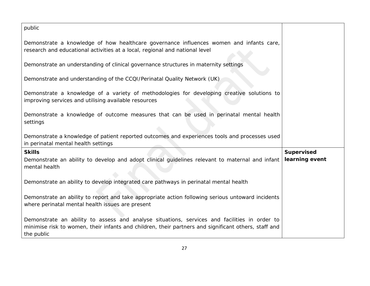| public                                                                                                                                                                                                             |                   |
|--------------------------------------------------------------------------------------------------------------------------------------------------------------------------------------------------------------------|-------------------|
| Demonstrate a knowledge of how healthcare governance influences women and infants care,<br>research and educational activities at a local, regional and national level                                             |                   |
| Demonstrate an understanding of clinical governance structures in maternity settings                                                                                                                               |                   |
| Demonstrate and understanding of the CCQI/Perinatal Quality Network (UK)                                                                                                                                           |                   |
| Demonstrate a knowledge of a variety of methodologies for developing creative solutions to<br>improving services and utilising available resources                                                                 |                   |
| Demonstrate a knowledge of outcome measures that can be used in perinatal mental health<br>settings                                                                                                                |                   |
| Demonstrate a knowledge of patient reported outcomes and experiences tools and processes used<br>in perinatal mental health settings                                                                               |                   |
| <b>Skills</b>                                                                                                                                                                                                      | <b>Supervised</b> |
| Demonstrate an ability to develop and adopt clinical guidelines relevant to maternal and infant<br>mental health                                                                                                   | learning event    |
| Demonstrate an ability to develop integrated care pathways in perinatal mental health                                                                                                                              |                   |
| Demonstrate an ability to report and take appropriate action following serious untoward incidents<br>where perinatal mental health issues are present                                                              |                   |
| Demonstrate an ability to assess and analyse situations, services and facilities in order to<br>minimise risk to women, their infants and children, their partners and significant others, staff and<br>the public |                   |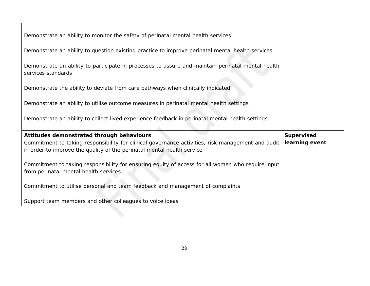| Demonstrate an ability to monitor the safety of perinatal mental health services                                                                                            |                |
|-----------------------------------------------------------------------------------------------------------------------------------------------------------------------------|----------------|
| Demonstrate an ability to question existing practice to improve perinatal mental health services                                                                            |                |
| Demonstrate an ability to participate in processes to assure and maintain perinatal mental health<br>services standards                                                     |                |
| Demonstrate the ability to deviate from care pathways when clinically indicated                                                                                             |                |
| Demonstrate an ability to utilise outcome measures in perinatal mental health settings                                                                                      |                |
| Demonstrate an ability to collect lived experience feedback in perinatal mental health settings                                                                             |                |
| Attitudes demonstrated through behaviours                                                                                                                                   | Supervised     |
| Commitment to taking responsibility for clinical governance activities, risk management and audit<br>in order to improve the quality of the perinatal mental health service | learning event |
| Commitment to taking responsibility for ensuring equity of access for all women who require input<br>from perinatal mental health services                                  |                |
| Commitment to utilise personal and team feedback and management of complaints                                                                                               |                |
| Support team members and other colleagues to voice ideas                                                                                                                    |                |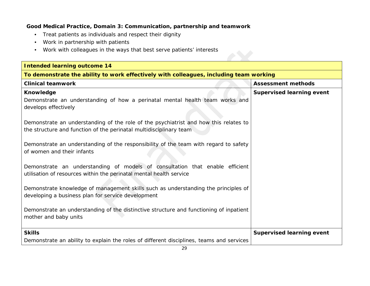#### **Good Medical Practice, Domain 3: Communication, partnership and teamwork**

- *Treat patients as individuals and respect their dignity*
- *Work in partnership with patients*
- *Work with colleagues in the ways that best serve patients' interests*

| <b>Intended learning outcome 14</b>                                                                                                                        |                                  |  |
|------------------------------------------------------------------------------------------------------------------------------------------------------------|----------------------------------|--|
| To demonstrate the ability to work effectively with colleagues, including team working                                                                     |                                  |  |
| <b>Clinical teamwork</b>                                                                                                                                   | <b>Assessment methods</b>        |  |
| Knowledge<br>Demonstrate an understanding of how a perinatal mental health team works and<br>develops effectively                                          | <b>Supervised learning event</b> |  |
| Demonstrate an understanding of the role of the psychiatrist and how this relates to<br>the structure and function of the perinatal multidisciplinary team |                                  |  |
| Demonstrate an understanding of the responsibility of the team with regard to safety<br>of women and their infants                                         |                                  |  |
| Demonstrate an understanding of models of consultation that enable efficient<br>utilisation of resources within the perinatal mental health service        |                                  |  |
| Demonstrate knowledge of management skills such as understanding the principles of<br>developing a business plan for service development                   |                                  |  |
| Demonstrate an understanding of the distinctive structure and functioning of inpatient<br>mother and baby units                                            |                                  |  |
| <b>Skills</b>                                                                                                                                              | <b>Supervised learning event</b> |  |
| Demonstrate an ability to explain the roles of different disciplines, teams and services                                                                   |                                  |  |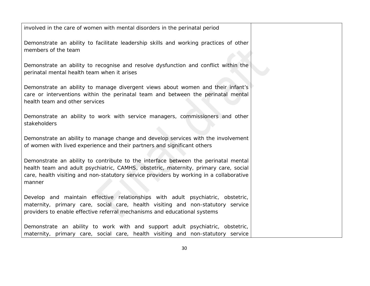involved in the care of women with mental disorders in the perinatal period

Demonstrate an ability to facilitate leadership skills and working practices of other members of the team

Demonstrate an ability to recognise and resolve dysfunction and conflict within the perinatal mental health team when it arises

Demonstrate an ability to manage divergent views about women and their infant's care or interventions within the perinatal team and between the perinatal mental health team and other services

Demonstrate an ability to work with service managers, commissioners and other stakeholders

Demonstrate an ability to manage change and develop services with the involvement of women with lived experience and their partners and significant others

Demonstrate an ability to contribute to the interface between the perinatal mental health team and adult psychiatric, CAMHS, obstetric, maternity, primary care, social care, health visiting and non-statutory service providers by working in a collaborative manner

Develop and maintain effective relationships with adult psychiatric, obstetric, maternity, primary care, social care, health visiting and non-statutory service providers to enable effective referral mechanisms and educational systems

Demonstrate an ability to work with and support adult psychiatric, obstetric, maternity, primary care, social care, health visiting and non-statutory service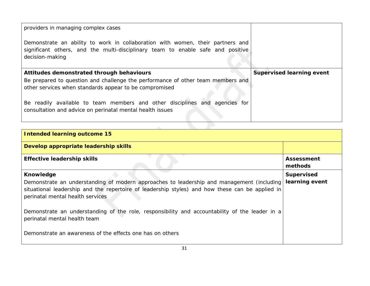| providers in managing complex cases                                                                                                                                                  |                                  |
|--------------------------------------------------------------------------------------------------------------------------------------------------------------------------------------|----------------------------------|
| Demonstrate an ability to work in collaboration with women, their partners and<br>significant others, and the multi-disciplinary team to enable safe and positive<br>decision-making |                                  |
|                                                                                                                                                                                      |                                  |
| Attitudes demonstrated through behaviours                                                                                                                                            | <b>Supervised learning event</b> |
| Be prepared to question and challenge the performance of other team members and                                                                                                      |                                  |
| other services when standards appear to be compromised                                                                                                                               |                                  |

| Intended learning outcome 15                                                                                                                                                                                                     |                              |
|----------------------------------------------------------------------------------------------------------------------------------------------------------------------------------------------------------------------------------|------------------------------|
| Develop appropriate leadership skills                                                                                                                                                                                            |                              |
| <b>Effective leadership skills</b>                                                                                                                                                                                               | <b>Assessment</b><br>methods |
| Knowledge                                                                                                                                                                                                                        | <b>Supervised</b>            |
| Demonstrate an understanding of modern approaches to leadership and management (including<br>situational leadership and the repertoire of leadership styles) and how these can be applied in<br>perinatal mental health services | learning event               |
| Demonstrate an understanding of the role, responsibility and accountability of the leader in a<br>perinatal mental health team                                                                                                   |                              |
| Demonstrate an awareness of the effects one has on others                                                                                                                                                                        |                              |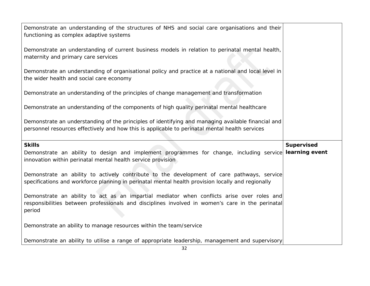| Demonstrate an understanding of the structures of NHS and social care organisations and their<br>functioning as complex adaptive systems<br>Demonstrate an understanding of current business models in relation to perinatal mental health,<br>maternity and primary care services<br>Demonstrate an understanding of organisational policy and practice at a national and local level in |
|-------------------------------------------------------------------------------------------------------------------------------------------------------------------------------------------------------------------------------------------------------------------------------------------------------------------------------------------------------------------------------------------|
|                                                                                                                                                                                                                                                                                                                                                                                           |
|                                                                                                                                                                                                                                                                                                                                                                                           |
| the wider health and social care economy                                                                                                                                                                                                                                                                                                                                                  |
| Demonstrate an understanding of the principles of change management and transformation                                                                                                                                                                                                                                                                                                    |
| Demonstrate an understanding of the components of high quality perinatal mental healthcare                                                                                                                                                                                                                                                                                                |
| Demonstrate an understanding of the principles of identifying and managing available financial and<br>personnel resources effectively and how this is applicable to perinatal mental health services                                                                                                                                                                                      |
| <b>Skills</b><br><b>Supervised</b>                                                                                                                                                                                                                                                                                                                                                        |
| learning event<br>Demonstrate an ability to design and implement programmes for change, including service<br>innovation within perinatal mental health service provision                                                                                                                                                                                                                  |
| Demonstrate an ability to actively contribute to the development of care pathways, service<br>specifications and workforce planning in perinatal mental health provision locally and regionally                                                                                                                                                                                           |
| Demonstrate an ability to act as an impartial mediator when conflicts arise over roles and<br>responsibilities between professionals and disciplines involved in women's care in the perinatal<br>period                                                                                                                                                                                  |
| Demonstrate an ability to manage resources within the team/service                                                                                                                                                                                                                                                                                                                        |
| Demonstrate an ability to utilise a range of appropriate leadership, management and supervisory                                                                                                                                                                                                                                                                                           |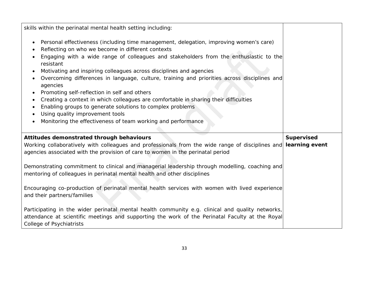| skills within the perinatal mental health setting including:                                                                                                                                                                                                                                                                        |                   |
|-------------------------------------------------------------------------------------------------------------------------------------------------------------------------------------------------------------------------------------------------------------------------------------------------------------------------------------|-------------------|
| Personal effectiveness (including time management, delegation, improving women's care)<br>$\bullet$<br>Reflecting on who we become in different contexts<br>$\bullet$<br>Engaging with a wide range of colleagues and stakeholders from the enthusiastic to the<br>$\bullet$<br>resistant                                           |                   |
| Motivating and inspiring colleagues across disciplines and agencies<br>$\bullet$<br>Overcoming differences in language, culture, training and priorities across disciplines and<br>٠<br>agencies                                                                                                                                    |                   |
| Promoting self-reflection in self and others<br>$\bullet$<br>Creating a context in which colleagues are comfortable in sharing their difficulties<br>$\bullet$<br>Enabling groups to generate solutions to complex problems<br>٠<br>Using quality improvement tools<br>Monitoring the effectiveness of team working and performance |                   |
| Attitudes demonstrated through behaviours                                                                                                                                                                                                                                                                                           | <b>Supervised</b> |
| Working collaboratively with colleagues and professionals from the wide range of disciplines and<br>agencies associated with the provision of care to women in the perinatal period                                                                                                                                                 | learning event    |
| Demonstrating commitment to clinical and managerial leadership through modelling, coaching and<br>mentoring of colleagues in perinatal mental health and other disciplines                                                                                                                                                          |                   |
| Encouraging co-production of perinatal mental health services with women with lived experience<br>and their partners/families                                                                                                                                                                                                       |                   |
| Participating in the wider perinatal mental health community e.g. clinical and quality networks,<br>attendance at scientific meetings and supporting the work of the Perinatal Faculty at the Royal                                                                                                                                 |                   |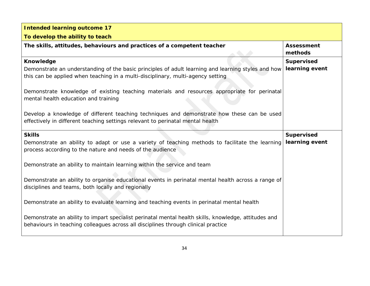| <b>Intended learning outcome 17</b>                                                                                                                                                                       |                                     |
|-----------------------------------------------------------------------------------------------------------------------------------------------------------------------------------------------------------|-------------------------------------|
| To develop the ability to teach                                                                                                                                                                           |                                     |
| The skills, attitudes, behaviours and practices of a competent teacher                                                                                                                                    | <b>Assessment</b><br>methods        |
| <b>Knowledge</b><br>Demonstrate an understanding of the basic principles of adult learning and learning styles and how<br>this can be applied when teaching in a multi-disciplinary, multi-agency setting | <b>Supervised</b><br>learning event |
| Demonstrate knowledge of existing teaching materials and resources appropriate for perinatal<br>mental health education and training                                                                      |                                     |
| Develop a knowledge of different teaching techniques and demonstrate how these can be used<br>effectively in different teaching settings relevant to perinatal mental health                              |                                     |
| <b>Skills</b>                                                                                                                                                                                             | <b>Supervised</b>                   |
| Demonstrate an ability to adapt or use a variety of teaching methods to facilitate the learning<br>process according to the nature and needs of the audience                                              | learning event                      |
| Demonstrate an ability to maintain learning within the service and team                                                                                                                                   |                                     |
| Demonstrate an ability to organise educational events in perinatal mental health across a range of<br>disciplines and teams, both locally and regionally                                                  |                                     |
| Demonstrate an ability to evaluate learning and teaching events in perinatal mental health                                                                                                                |                                     |
| Demonstrate an ability to impart specialist perinatal mental health skills, knowledge, attitudes and<br>behaviours in teaching colleagues across all disciplines through clinical practice                |                                     |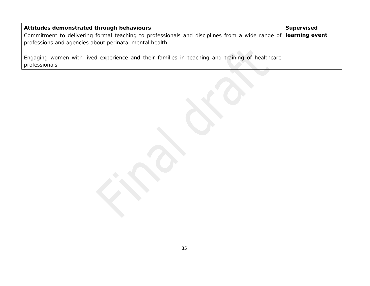| Attitudes demonstrated through behaviours                                                                       | Supervised |
|-----------------------------------------------------------------------------------------------------------------|------------|
| Commitment to delivering formal teaching to professionals and disciplines from a wide range of learning event   |            |
| professions and agencies about perinatal mental health                                                          |            |
| Engaging women with lived experience and their families in teaching and training of healthcare<br>professionals |            |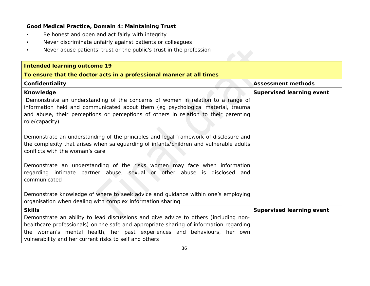# **Good Medical Practice, Domain 4: Maintaining Trust**

- *Be honest and open and act fairly with integrity*
- *Never discriminate unfairly against patients or colleagues*
- *Never abuse patients' trust or the public's trust in the profession*

| <b>Intended learning outcome 19</b>                                                                                                                                                                                                                                                                                 |                                  |  |
|---------------------------------------------------------------------------------------------------------------------------------------------------------------------------------------------------------------------------------------------------------------------------------------------------------------------|----------------------------------|--|
| To ensure that the doctor acts in a professional manner at all times                                                                                                                                                                                                                                                |                                  |  |
| Confidentiality                                                                                                                                                                                                                                                                                                     | <b>Assessment methods</b>        |  |
| Knowledge<br>Demonstrate an understanding of the concerns of women in relation to a range of<br>information held and communicated about them (eg psychological material, trauma<br>and abuse, their perceptions or perceptions of others in relation to their parenting<br>role/capacity)                           | <b>Supervised learning event</b> |  |
| Demonstrate an understanding of the principles and legal framework of disclosure and<br>the complexity that arises when safeguarding of infants/children and vulnerable adults<br>conflicts with the woman's care                                                                                                   |                                  |  |
| Demonstrate an understanding of the risks women may face when information<br>regarding intimate partner abuse, sexual or other abuse is disclosed and<br>communicated                                                                                                                                               |                                  |  |
| Demonstrate knowledge of where to seek advice and guidance within one's employing<br>organisation when dealing with complex information sharing                                                                                                                                                                     |                                  |  |
| <b>Skills</b>                                                                                                                                                                                                                                                                                                       | <b>Supervised learning event</b> |  |
| Demonstrate an ability to lead discussions and give advice to others (including non-<br>healthcare professionals) on the safe and appropriate sharing of information regarding<br>the woman's mental health, her past experiences and behaviours, her own<br>vulnerability and her current risks to self and others |                                  |  |